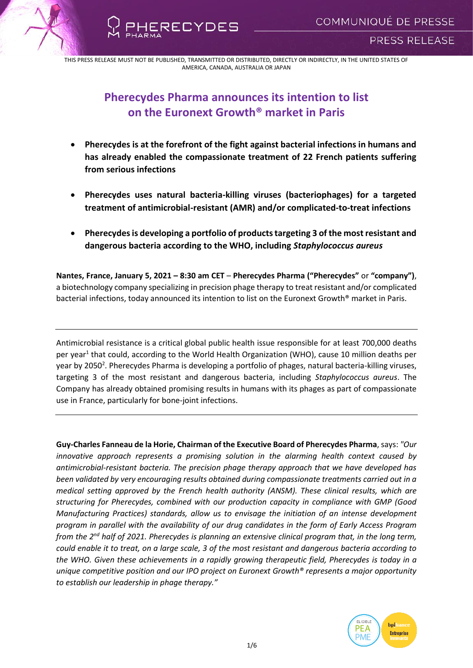

RECYDES

# **Pherecydes Pharma announces its intention to list on the Euronext Growth® market in Paris**

- **Pherecydes is at the forefront of the fight against bacterial infections in humans and has already enabled the compassionate treatment of 22 French patients suffering from serious infections**
- **Pherecydes uses natural bacteria-killing viruses (bacteriophages) for a targeted treatment of antimicrobial-resistant (AMR) and/or complicated-to-treat infections**
- **Pherecydes is developing a portfolio of products targeting 3 of the most resistant and dangerous bacteria according to the WHO, including** *Staphylococcus aureus*

**Nantes, France, January 5, 2021 – 8:30 am CET** – **Pherecydes Pharma ("Pherecydes"** or **"company")**, a biotechnology company specializing in precision phage therapy to treat resistant and/or complicated bacterial infections, today announced its intention to list on the Euronext Growth® market in Paris.

Antimicrobial resistance is a critical global public health issue responsible for at least 700,000 deaths per year<sup>1</sup> that could, according to the World Health Organization (WHO), cause 10 million deaths per year by 2050<sup>2</sup>. Pherecydes Pharma is developing a portfolio of phages, natural bacteria-killing viruses, targeting 3 of the most resistant and dangerous bacteria, including *Staphylococcus aureus*. The Company has already obtained promising results in humans with its phages as part of compassionate use in France, particularly for bone-joint infections.

**Guy-Charles Fanneau de la Horie, Chairman of the Executive Board of Pherecydes Pharma**, says: *"Our innovative approach represents a promising solution in the alarming health context caused by antimicrobial-resistant bacteria. The precision phage therapy approach that we have developed has been validated by very encouraging results obtained during compassionate treatments carried out in a medical setting approved by the French health authority (ANSM). These clinical results, which are structuring for Pherecydes, combined with our production capacity in compliance with GMP (Good Manufacturing Practices) standards, allow us to envisage the initiation of an intense development program in parallel with the availability of our drug candidates in the form of Early Access Program from the 2nd half of 2021. Pherecydes is planning an extensive clinical program that, in the long term, could enable it to treat, on a large scale, 3 of the most resistant and dangerous bacteria according to the WHO. Given these achievements in a rapidly growing therapeutic field, Pherecydes is today in a unique competitive position and our IPO project on Euronext Growth® represents a major opportunity to establish our leadership in phage therapy."*

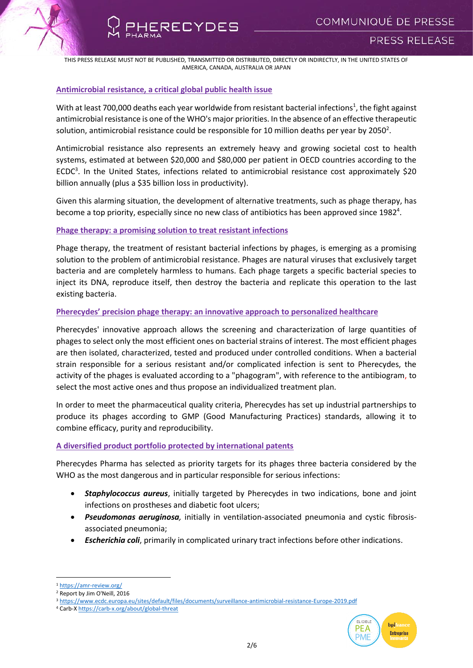## **Antimicrobial resistance, a critical global public health issue**

RECYDES

With at least 700,000 deaths each year worldwide from resistant bacterial infections<sup>1</sup>, the fight against antimicrobial resistance is one of the WHO's major priorities. In the absence of an effective therapeutic solution, antimicrobial resistance could be responsible for 10 million deaths per year by 2050<sup>2</sup>.

Antimicrobial resistance also represents an extremely heavy and growing societal cost to health systems, estimated at between \$20,000 and \$80,000 per patient in OECD countries according to the ECDC<sup>3</sup>. In the United States, infections related to antimicrobial resistance cost approximately \$20 billion annually (plus a \$35 billion loss in productivity).

Given this alarming situation, the development of alternative treatments, such as phage therapy, has become a top priority, especially since no new class of antibiotics has been approved since 1982<sup>4</sup>.

## **Phage therapy: a promising solution to treat resistant infections**

Phage therapy, the treatment of resistant bacterial infections by phages, is emerging as a promising solution to the problem of antimicrobial resistance. Phages are natural viruses that exclusively target bacteria and are completely harmless to humans. Each phage targets a specific bacterial species to inject its DNA, reproduce itself, then destroy the bacteria and replicate this operation to the last existing bacteria.

## **Pherecydes' precision phage therapy: an innovative approach to personalized healthcare**

Pherecydes' innovative approach allows the screening and characterization of large quantities of phages to select only the most efficient ones on bacterial strains of interest. The most efficient phages are then isolated, characterized, tested and produced under controlled conditions. When a bacterial strain responsible for a serious resistant and/or complicated infection is sent to Pherecydes, the activity of the phages is evaluated according to a "phagogram", with reference to the antibiogram, to select the most active ones and thus propose an individualized treatment plan.

In order to meet the pharmaceutical quality criteria, Pherecydes has set up industrial partnerships to produce its phages according to GMP (Good Manufacturing Practices) standards, allowing it to combine efficacy, purity and reproducibility.

# **A diversified product portfolio protected by international patents**

Pherecydes Pharma has selected as priority targets for its phages three bacteria considered by the WHO as the most dangerous and in particular responsible for serious infections:

- *Staphylococcus aureus*, initially targeted by Pherecydes in two indications, bone and joint infections on prostheses and diabetic foot ulcers;
- *Pseudomonas aeruginosa,* initially in ventilation-associated pneumonia and cystic fibrosisassociated pneumonia;
- *Escherichia coli*, primarily in complicated urinary tract infections before other indications.

**.** 



<sup>1</sup> <https://amr-review.org/>

<sup>2</sup> Report by Jim O'Neill, 2016

<sup>3</sup> <https://www.ecdc.europa.eu/sites/default/files/documents/surveillance-antimicrobial-resistance-Europe-2019.pdf>

<sup>4</sup> Carb-[X https://carb-x.org/about/global-threat](https://carb-x.org/about/global-threat)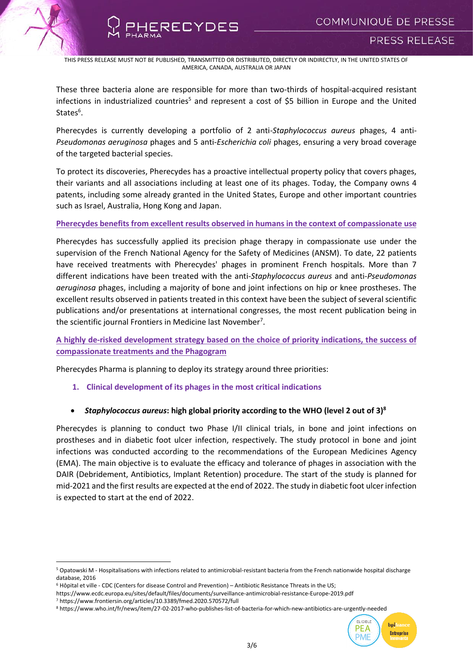

ERECYDES

These three bacteria alone are responsible for more than two-thirds of hospital-acquired resistant infections in industrialized countries<sup>5</sup> and represent a cost of \$5 billion in Europe and the United States<sup>6</sup>.

Pherecydes is currently developing a portfolio of 2 anti-*Staphylococcus aureus* phages, 4 anti-*Pseudomonas aeruginosa* phages and 5 anti-*Escherichia coli* phages, ensuring a very broad coverage of the targeted bacterial species.

To protect its discoveries, Pherecydes has a proactive intellectual property policy that covers phages, their variants and all associations including at least one of its phages. Today, the Company owns 4 patents, including some already granted in the United States, Europe and other important countries such as Israel, Australia, Hong Kong and Japan.

## **Pherecydes benefits from excellent results observed in humans in the context of compassionate use**

Pherecydes has successfully applied its precision phage therapy in compassionate use under the supervision of the French National Agency for the Safety of Medicines (ANSM). To date, 22 patients have received treatments with Pherecydes' phages in prominent French hospitals. More than 7 different indications have been treated with the anti-*Staphylococcus aureus* and anti-*Pseudomonas aeruginosa* phages, including a majority of bone and joint infections on hip or knee prostheses. The excellent results observed in patients treated in this context have been the subject of several scientific publications and/or presentations at international congresses, the most recent publication being in the scientific journal Frontiers in Medicine last November<sup>7</sup>.

**A highly de-risked development strategy based on the choice of priority indications, the success of compassionate treatments and the Phagogram** 

Pherecydes Pharma is planning to deploy its strategy around three priorities:

**1. Clinical development of its phages in the most critical indications**

# *Staphylococcus aureus***: high global priority according to the WHO (level 2 out of 3)<sup>8</sup>**

Pherecydes is planning to conduct two Phase I/II clinical trials, in bone and joint infections on prostheses and in diabetic foot ulcer infection, respectively. The study protocol in bone and joint infections was conducted according to the recommendations of the European Medicines Agency (EMA). The main objective is to evaluate the efficacy and tolerance of phages in association with the DAIR (Debridement, Antibiotics, Implant Retention) procedure. The start of the study is planned for mid-2021 and the first results are expected at the end of 2022. The study in diabetic foot ulcer infection is expected to start at the end of 2022.

<sup>8</sup> https://www.who.int/fr/news/item/27-02-2017-who-publishes-list-of-bacteria-for-which-new-antibiotics-are-urgently-needed



<sup>1</sup> <sup>5</sup> Opatowski M - Hospitalisations with infections related to antimicrobial-resistant bacteria from the French nationwide hospital discharge database, 2016

<sup>6</sup> Hôpital et ville - CDC (Centers for disease Control and Prevention) – Antibiotic Resistance Threats in the US;

https://www.ecdc.europa.eu/sites/default/files/documents/surveillance-antimicrobial-resistance-Europe-2019.pdf

<sup>7</sup> https://www.frontiersin.org/articles/10.3389/fmed.2020.570572/full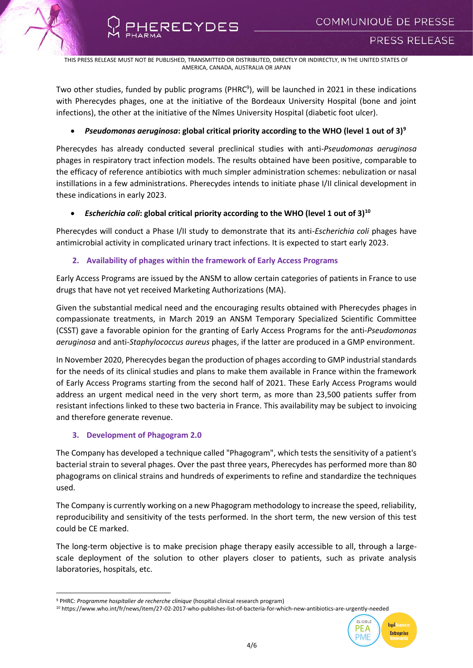**RECYDES** 

Two other studies, funded by public programs (PHRC<sup>9</sup>), will be launched in 2021 in these indications with Pherecydes phages, one at the initiative of the Bordeaux University Hospital (bone and joint infections), the other at the initiative of the Nîmes University Hospital (diabetic foot ulcer).

# *Pseudomonas aeruginosa***: global critical priority according to the WHO (level 1 out of 3)<sup>9</sup>**

Pherecydes has already conducted several preclinical studies with anti-*Pseudomonas aeruginosa* phages in respiratory tract infection models. The results obtained have been positive, comparable to the efficacy of reference antibiotics with much simpler administration schemes: nebulization or nasal instillations in a few administrations. Pherecydes intends to initiate phase I/II clinical development in these indications in early 2023.

# *Escherichia coli***: global critical priority according to the WHO (level 1 out of 3)<sup>10</sup>**

Pherecydes will conduct a Phase I/II study to demonstrate that its anti-*Escherichia coli* phages have antimicrobial activity in complicated urinary tract infections. It is expected to start early 2023.

# **2. Availability of phages within the framework of Early Access Programs**

Early Access Programs are issued by the ANSM to allow certain categories of patients in France to use drugs that have not yet received Marketing Authorizations (MA).

Given the substantial medical need and the encouraging results obtained with Pherecydes phages in compassionate treatments, in March 2019 an ANSM Temporary Specialized Scientific Committee (CSST) gave a favorable opinion for the granting of Early Access Programs for the anti-*Pseudomonas aeruginosa* and anti-*Staphylococcus aureus* phages, if the latter are produced in a GMP environment.

In November 2020, Pherecydes began the production of phages according to GMP industrial standards for the needs of its clinical studies and plans to make them available in France within the framework of Early Access Programs starting from the second half of 2021. These Early Access Programs would address an urgent medical need in the very short term, as more than 23,500 patients suffer from resistant infections linked to these two bacteria in France. This availability may be subject to invoicing and therefore generate revenue.

## **3. Development of Phagogram 2.0**

1

The Company has developed a technique called "Phagogram", which tests the sensitivity of a patient's bacterial strain to several phages. Over the past three years, Pherecydes has performed more than 80 phagograms on clinical strains and hundreds of experiments to refine and standardize the techniques used.

The Company is currently working on a new Phagogram methodology to increase the speed, reliability, reproducibility and sensitivity of the tests performed. In the short term, the new version of this test could be CE marked.

The long-term objective is to make precision phage therapy easily accessible to all, through a largescale deployment of the solution to other players closer to patients, such as private analysis laboratories, hospitals, etc.

<sup>10</sup> https://www.who.int/fr/news/item/27-02-2017-who-publishes-list-of-bacteria-for-which-new-antibiotics-are-urgently-needed



<sup>9</sup> PHRC: *Programme hospitalier de recherche clinique* (hospital clinical research program)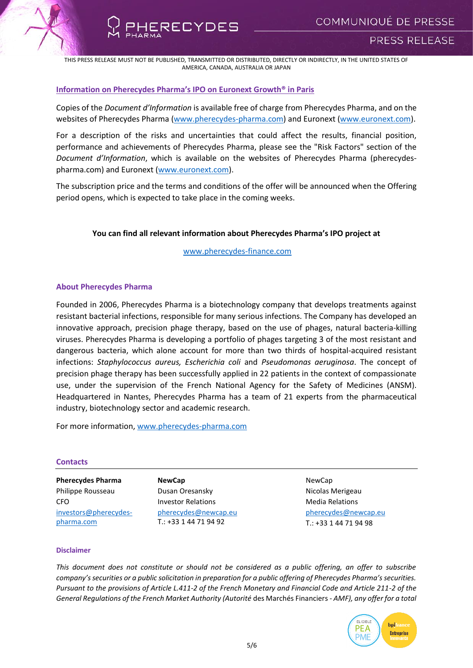



## **Information on Pherecydes Pharma's IPO on Euronext Growth® in Paris**

Copies of the *Document d'Information* is available free of charge from Pherecydes Pharma, and on the websites of Pherecydes Pharma [\(www.pherecydes-pharma.com\)](http://www.pherecydes-pharma.com/) and Euronext [\(www.euronext.com\)](http://www.euronext.com/).

For a description of the risks and uncertainties that could affect the results, financial position, performance and achievements of Pherecydes Pharma, please see the "Risk Factors" section of the *Document d'Information*, which is available on the websites of Pherecydes Pharma (pherecydespharma.com) and Euronext [\(www.euronext.com\)](http://www.euronext.com/).

The subscription price and the terms and conditions of the offer will be announced when the Offering period opens, which is expected to take place in the coming weeks.

# **You can find all relevant information about Pherecydes Pharma's IPO project at**

[www.pherecydes-finance.com](http://www.pherecydes-finance.com/)

## **About Pherecydes Pharma**

Founded in 2006, Pherecydes Pharma is a biotechnology company that develops treatments against resistant bacterial infections, responsible for many serious infections. The Company has developed an innovative approach, precision phage therapy, based on the use of phages, natural bacteria-killing viruses. Pherecydes Pharma is developing a portfolio of phages targeting 3 of the most resistant and dangerous bacteria, which alone account for more than two thirds of hospital-acquired resistant infections: *Staphylococcus aureus, Escherichia coli* and *Pseudomonas aeruginosa*. The concept of precision phage therapy has been successfully applied in 22 patients in the context of compassionate use, under the supervision of the French National Agency for the Safety of Medicines (ANSM). Headquartered in Nantes, Pherecydes Pharma has a team of 21 experts from the pharmaceutical industry, biotechnology sector and academic research.

For more information, [www.pherecydes-pharma.com](file:///C:/Users/Newcap/AppData/Local/Microsoft/Windows/INetCache/Content.Outlook/VSUEWB7P/www.pherecydes-pharma.com)

#### **Contacts**

**Pherecydes Pharma** Philippe Rousseau CFO [investors@pherecydes](mailto:investors@pherecydes-pharma.com)[pharma.com](mailto:investors@pherecydes-pharma.com)

**NewCap** Dusan Oresansky Investor Relations [pherecydes@newcap.eu](mailto:pherecydes@newcap.eu) T.: +33 1 44 71 94 92

NewCap Nicolas Merigeau Media Relations [pherecydes@newcap.eu](mailto:pherecydes@newcap.eu) T.: +33 1 44 71 94 98

#### **Disclaimer**

*This document does not constitute or should not be considered as a public offering, an offer to subscribe company's securities or a public solicitation in preparation for a public offering of Pherecydes Pharma's securities. Pursuant to the provisions of Article L.411-2 of the French Monetary and Financial Code and Article 211-2 of the General Regulations of the French Market Authority (Autorité* des Marchés Financiers *- AMF), any offer for a total*